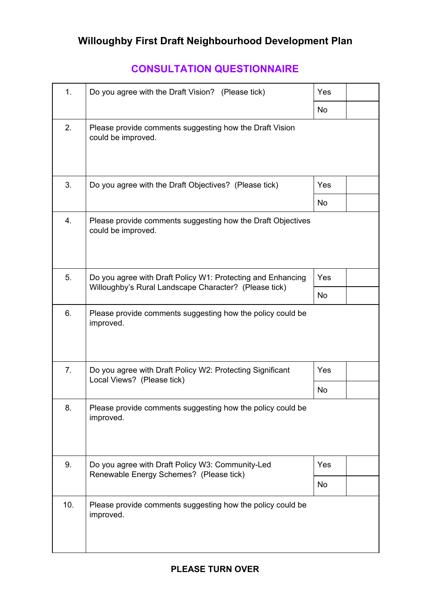## **CONSULTATION QUESTIONNAIRE**

| 1.  | Do you agree with the Draft Vision? (Please tick)                                                                    | Yes       |  |
|-----|----------------------------------------------------------------------------------------------------------------------|-----------|--|
|     |                                                                                                                      | <b>No</b> |  |
| 2.  | Please provide comments suggesting how the Draft Vision<br>could be improved.                                        |           |  |
| 3.  | Do you agree with the Draft Objectives? (Please tick)                                                                | Yes       |  |
|     |                                                                                                                      | <b>No</b> |  |
| 4.  | Please provide comments suggesting how the Draft Objectives<br>could be improved.                                    |           |  |
| 5.  | Do you agree with Draft Policy W1: Protecting and Enhancing<br>Willoughby's Rural Landscape Character? (Please tick) | Yes       |  |
|     |                                                                                                                      | <b>No</b> |  |
| 6.  | Please provide comments suggesting how the policy could be<br>improved.                                              |           |  |
| 7.  | Do you agree with Draft Policy W2: Protecting Significant<br>Local Views? (Please tick)                              | Yes       |  |
|     |                                                                                                                      | <b>No</b> |  |
| 8.  | Please provide comments suggesting how the policy could be<br>improved.                                              |           |  |
| 9.  | Do you agree with Draft Policy W3: Community-Led<br>Renewable Energy Schemes? (Please tick)                          | Yes       |  |
|     |                                                                                                                      | <b>No</b> |  |
| 10. | Please provide comments suggesting how the policy could be<br>improved.                                              |           |  |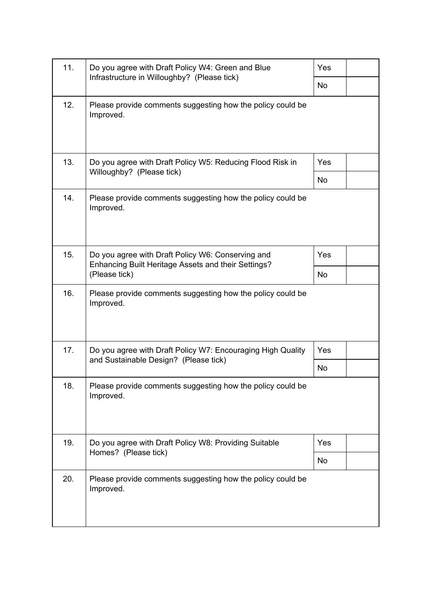| 11. | Do you agree with Draft Policy W4: Green and Blue<br>Infrastructure in Willoughby? (Please tick)                          | <b>Yes</b> |  |
|-----|---------------------------------------------------------------------------------------------------------------------------|------------|--|
|     |                                                                                                                           | <b>No</b>  |  |
| 12. | Please provide comments suggesting how the policy could be<br>Improved.                                                   |            |  |
| 13. | Do you agree with Draft Policy W5: Reducing Flood Risk in<br>Willoughby? (Please tick)                                    | Yes        |  |
|     |                                                                                                                           | <b>No</b>  |  |
| 14. | Please provide comments suggesting how the policy could be<br>Improved.                                                   |            |  |
| 15. | Do you agree with Draft Policy W6: Conserving and<br>Enhancing Built Heritage Assets and their Settings?<br>(Please tick) | Yes        |  |
|     |                                                                                                                           | <b>No</b>  |  |
| 16. | Please provide comments suggesting how the policy could be<br>Improved.                                                   |            |  |
| 17. | Do you agree with Draft Policy W7: Encouraging High Quality<br>and Sustainable Design? (Please tick)                      | <b>Yes</b> |  |
|     |                                                                                                                           | <b>No</b>  |  |
| 18. | Please provide comments suggesting how the policy could be<br>Improved.                                                   |            |  |
| 19. | Do you agree with Draft Policy W8: Providing Suitable<br>Homes? (Please tick)                                             | Yes        |  |
|     |                                                                                                                           | <b>No</b>  |  |
| 20. | Please provide comments suggesting how the policy could be<br>Improved.                                                   |            |  |